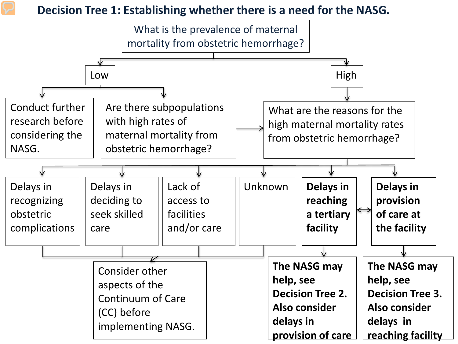## **Decision Tree 1: Establishing whether there is a need for the NASG.**

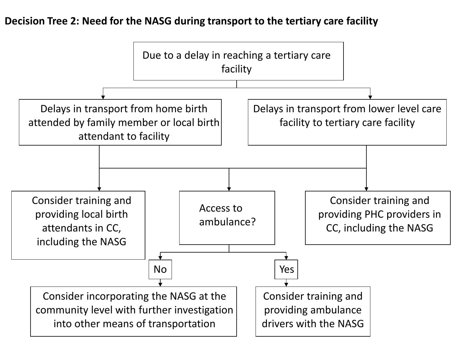## **Decision Tree 2: Need for the NASG during transport to the tertiary care facility**